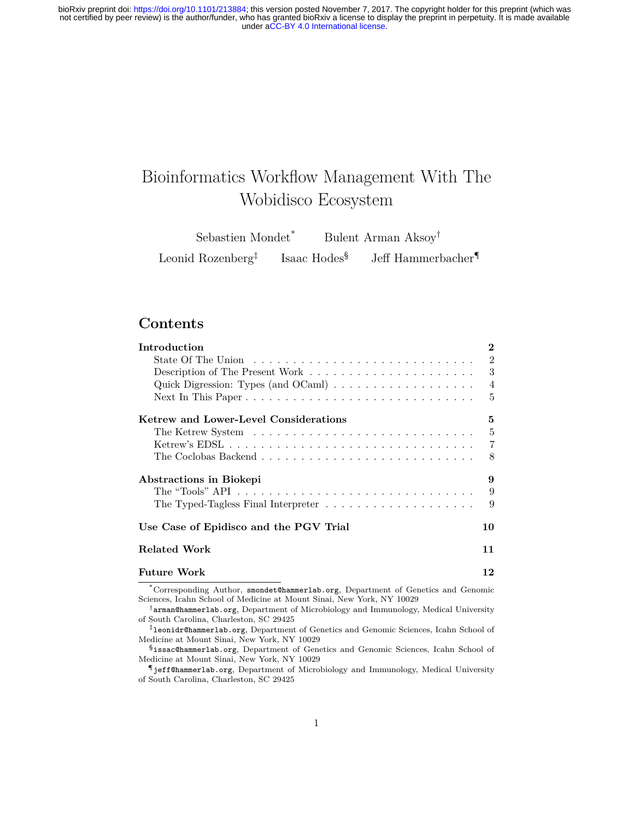# Bioinformatics Workflow Management With The Wobidisco Ecosystem

Sebastien Mondet\* Bulent Arman Aksoy† Leonid Rozenberg‡ Isaac Hodes§ Jeff Hammerbacher¶

## **Contents**

| Introduction                                                                                                                                              | $\bf{2}$       |
|-----------------------------------------------------------------------------------------------------------------------------------------------------------|----------------|
| State Of The Union $\ldots \ldots \ldots \ldots \ldots \ldots \ldots \ldots \ldots$                                                                       | $\overline{2}$ |
|                                                                                                                                                           | 3              |
| Quick Digression: Types (and $OCam$ ) $\ldots \ldots \ldots \ldots \ldots \ldots$                                                                         | $\overline{4}$ |
|                                                                                                                                                           | 5              |
| Ketrew and Lower-Level Considerations                                                                                                                     | 5              |
|                                                                                                                                                           | $\overline{5}$ |
|                                                                                                                                                           | $\overline{7}$ |
|                                                                                                                                                           | - 8            |
| Abstractions in Biokepi                                                                                                                                   | 9              |
|                                                                                                                                                           | 9              |
| The Typed-Tagless Final Interpreter $\ldots \ldots \ldots \ldots \ldots \ldots$                                                                           | 9              |
| Use Case of Epidisco and the PGV Trial                                                                                                                    | 10             |
| Related Work                                                                                                                                              | 11             |
| <b>Future Work</b>                                                                                                                                        | 12             |
| *Corresponding Author, smondet@hammerlab.org, Department of Genetics and Genomic<br>Sciences, Icahn School of Medicine at Mount Sinai, New York, NY 10029 |                |

†arman@hammerlab.org, Department of Microbiology and Immunology, Medical University of South Carolina, Charleston, SC 29425

‡leonidr@hammerlab.org, Department of Genetics and Genomic Sciences, Icahn School of Medicine at Mount Sinai, New York, NY 10029

§issac@hammerlab.org, Department of Genetics and Genomic Sciences, Icahn School of Medicine at Mount Sinai, New York, NY 10029

¶jeff@hammerlab.org, Department of Microbiology and Immunology, Medical University of South Carolina, Charleston, SC 29425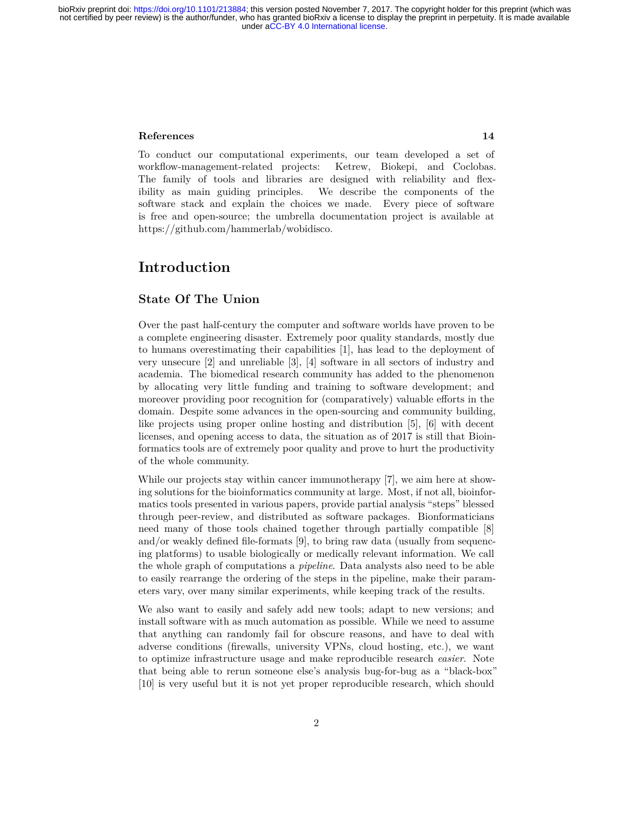#### **[References](#page-13-0) 14**

To conduct our computational experiments, our team developed a set of workflow-management-related projects: Ketrew, Biokepi, and Coclobas. The family of tools and libraries are designed with reliability and flexibility as main guiding principles. We describe the components of the software stack and explain the choices we made. Every piece of software is free and open-source; the umbrella documentation project is available at [https://github.com/hammerlab/wobidisco.](https://github.com/hammerlab/wobidisco)

# <span id="page-1-0"></span>**Introduction**

#### <span id="page-1-1"></span>**State Of The Union**

Over the past half-century the computer and software worlds have proven to be a complete engineering disaster. Extremely poor quality standards, mostly due to humans overestimating their capabilities [[1\]](#page-13-1), has lead to the deployment of very unsecure [\[2](#page-13-2)] and unreliable [\[3](#page-13-3)], [\[4](#page-13-4)] software in all sectors of industry and academia. The biomedical research community has added to the phenomenon by allocating very little funding and training to software development; and moreover providing poor recognition for (comparatively) valuable efforts in the domain. Despite some advances in the open-sourcing and community building, like projects using proper online hosting and distribution [\[5](#page-13-5)], [\[6](#page-13-6)] with decent licenses, and opening access to data, the situation as of 2017 is still that Bioinformatics tools are of extremely poor quality and prove to hurt the productivity of the whole community.

While our projects stay within cancer immunotherapy [[7\]](#page-13-7), we aim here at showing solutions for the bioinformatics community at large. Most, if not all, bioinformatics tools presented in various papers, provide partial analysis "steps" blessed through peer-review, and distributed as software packages. Bionformaticians need many of those tools chained together through partially compatible [[8\]](#page-13-8) and/or weakly defined file-formats [\[9](#page-13-9)], to bring raw data (usually from sequencing platforms) to usable biologically or medically relevant information. We call the whole graph of computations a *pipeline*. Data analysts also need to be able to easily rearrange the ordering of the steps in the pipeline, make their parameters vary, over many similar experiments, while keeping track of the results.

We also want to easily and safely add new tools; adapt to new versions; and install software with as much automation as possible. While we need to assume that anything can randomly fail for obscure reasons, and have to deal with adverse conditions (firewalls, university VPNs, cloud hosting, etc.), we want to optimize infrastructure usage and make reproducible research *easier*. Note that being able to rerun someone else's analysis bug-for-bug as a "black-box" [[10\]](#page-13-10) is very useful but it is not yet proper reproducible research, which should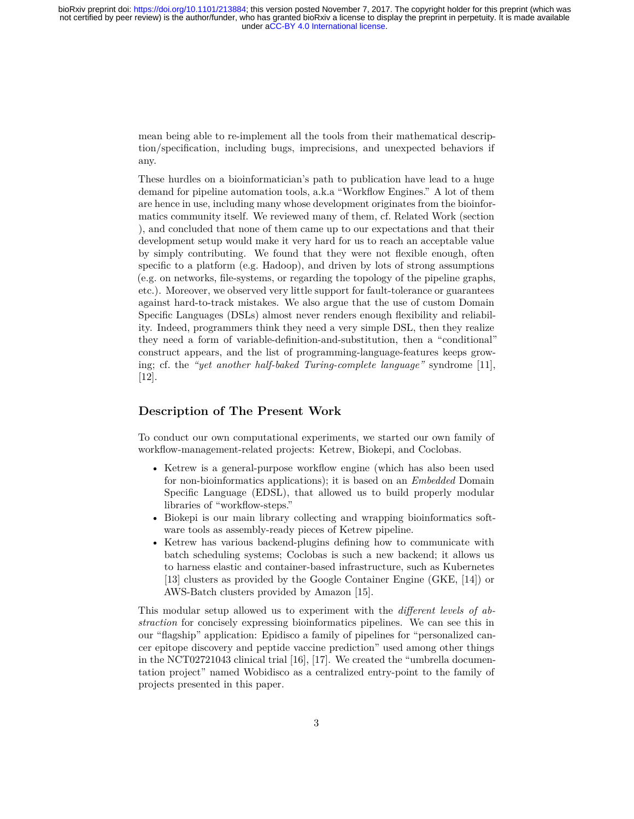mean being able to re-implement all the tools from their mathematical description/specification, including bugs, imprecisions, and unexpected behaviors if any.

These hurdles on a bioinformatician's path to publication have lead to a huge demand for pipeline automation tools, a.k.a "Workflow Engines." A lot of them are hence in use, including many whose development originates from the bioinformatics community itself. We reviewed many of them, cf. Related Work (section ), and concluded that none of them came up to our expectations and that their development setup would make it very hard for us to reach an acceptable value by simply contributing. We found that they were not flexible enough, often specific to a platform (e.g. Hadoop), and driven by lots of strong assumptions (e.g. on networks, file-systems, or regarding the topology of the pipeline graphs, etc.). Moreover, we observed very little support for fault-tolerance or guarantees against hard-to-track mistakes. We also argue that the use of custom Domain Specific Languages (DSLs) almost never renders enough flexibility and reliability. Indeed, programmers think they need a very simple DSL, then they realize they need a form of variable-definition-and-substitution, then a "conditional" construct appears, and the list of programming-language-features keeps growing; cf. the *"yet another half-baked Turing-complete language"* syndrome [\[11](#page-13-11)], [[12\]](#page-13-12).

#### <span id="page-2-0"></span>**Description of The Present Work**

To conduct our own computational experiments, we started our own family of workflow-management-related projects: Ketrew, Biokepi, and Coclobas.

- Ketrew is a general-purpose workflow engine (which has also been used for non-bioinformatics applications); it is based on an *Embedded* Domain Specific Language (EDSL), that allowed us to build properly modular libraries of "workflow-steps."
- Biokepi is our main library collecting and wrapping bioinformatics software tools as assembly-ready pieces of Ketrew pipeline.
- Ketrew has various backend-plugins defining how to communicate with batch scheduling systems; Coclobas is such a new backend; it allows us to harness elastic and container-based infrastructure, such as Kubernetes [\[13](#page-13-13)] clusters as provided by the Google Container Engine (GKE, [[14\]](#page-13-14)) or AWS-Batch clusters provided by Amazon [\[15](#page-13-15)].

This modular setup allowed us to experiment with the *different levels of abstraction* for concisely expressing bioinformatics pipelines. We can see this in our "flagship" application: Epidisco a family of pipelines for "personalized cancer epitope discovery and peptide vaccine prediction" used among other things in the NCT02721043 clinical trial [[16\]](#page-13-16), [\[17](#page-13-17)]. We created the "umbrella documentation project" named Wobidisco as a centralized entry-point to the family of projects presented in this paper.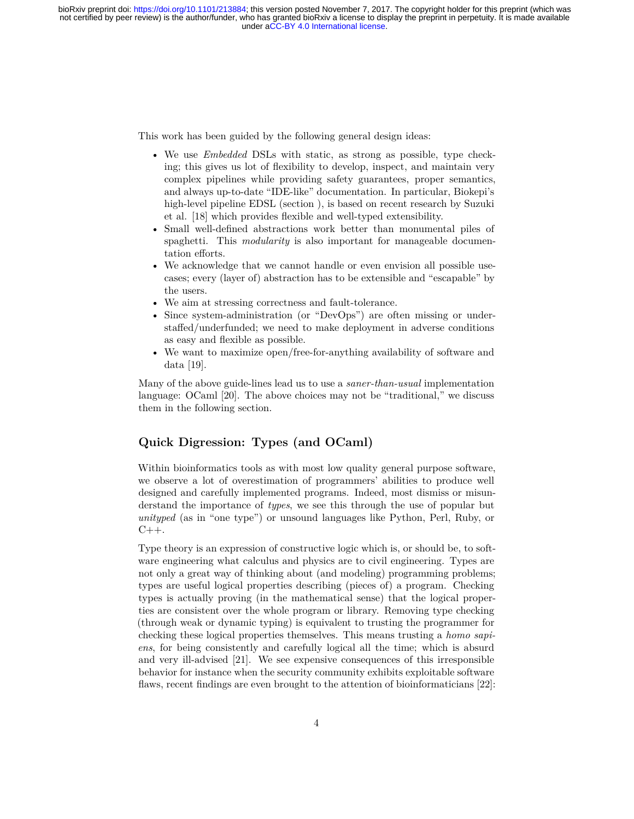This work has been guided by the following general design ideas:

- We use *Embedded* DSLs with static, as strong as possible, type checking; this gives us lot of flexibility to develop, inspect, and maintain very complex pipelines while providing safety guarantees, proper semantics, and always up-to-date "IDE-like" documentation. In particular, Biokepi's high-level pipeline EDSL (section ), is based on recent research by Suzuki et al. [\[18\]](#page-14-0) which provides flexible and well-typed extensibility.
- Small well-defined abstractions work better than monumental piles of spaghetti. This *modularity* is also important for manageable documentation efforts.
- We acknowledge that we cannot handle or even envision all possible usecases; every (layer of) abstraction has to be extensible and "escapable" by the users.
- We aim at stressing correctness and fault-tolerance.
- Since system-administration (or "DevOps") are often missing or understaffed/underfunded; we need to make deployment in adverse conditions as easy and flexible as possible.
- We want to maximize open/free-for-anything availability of software and data [\[19](#page-14-1)].

Many of the above guide-lines lead us to use a *saner-than-usual* implementation language: OCaml [\[20](#page-14-2)]. The above choices may not be "traditional," we discuss them in the following section.

### <span id="page-3-0"></span>**Quick Digression: Types (and OCaml)**

Within bioinformatics tools as with most low quality general purpose software, we observe a lot of overestimation of programmers' abilities to produce well designed and carefully implemented programs. Indeed, most dismiss or misunderstand the importance of *types*, we see this through the use of popular but *unityped* (as in "one type") or unsound languages like Python, Perl, Ruby, or  $C++$ .

Type theory is an expression of constructive logic which is, or should be, to software engineering what calculus and physics are to civil engineering. Types are not only a great way of thinking about (and modeling) programming problems; types are useful logical properties describing (pieces of) a program. Checking types is actually proving (in the mathematical sense) that the logical properties are consistent over the whole program or library. Removing type checking (through weak or dynamic typing) is equivalent to trusting the programmer for checking these logical properties themselves. This means trusting a *homo sapiens*, for being consistently and carefully logical all the time; which is absurd and very ill-advised [\[21](#page-14-3)]. We see expensive consequences of this irresponsible behavior for instance when the security community exhibits exploitable software flaws, recent findings are even brought to the attention of bioinformaticians [\[22](#page-14-4)]: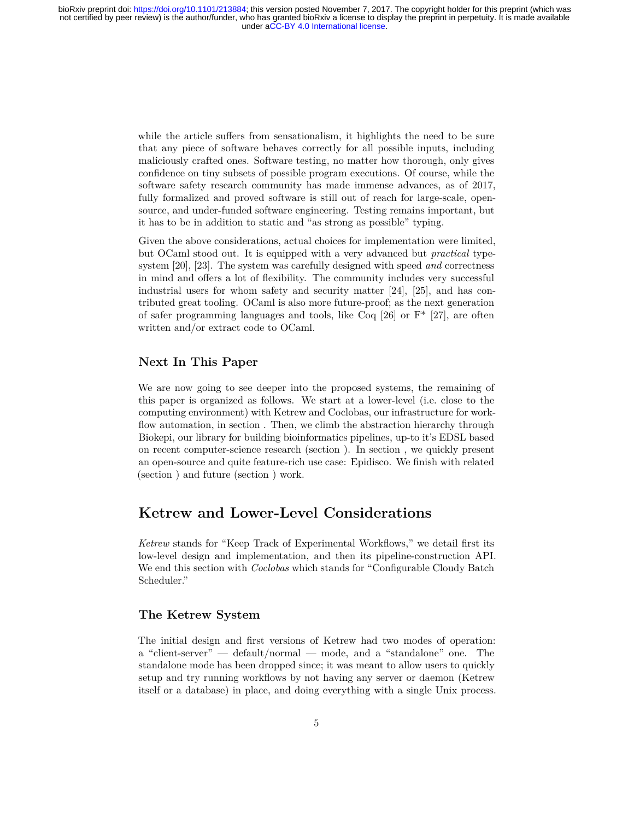while the article suffers from sensationalism, it highlights the need to be sure that any piece of software behaves correctly for all possible inputs, including maliciously crafted ones. Software testing, no matter how thorough, only gives confidence on tiny subsets of possible program executions. Of course, while the software safety research community has made immense advances, as of 2017, fully formalized and proved software is still out of reach for large-scale, opensource, and under-funded software engineering. Testing remains important, but it has to be in addition to static and "as strong as possible" typing.

Given the above considerations, actual choices for implementation were limited, but OCaml stood out. It is equipped with a very advanced but *practical* typesystem [\[20](#page-14-2)], [\[23](#page-14-5)]. The system was carefully designed with speed *and* correctness in mind and offers a lot of flexibility. The community includes very successful industrial users for whom safety and security matter [\[24](#page-14-6)], [\[25](#page-14-7)], and has contributed great tooling. OCaml is also more future-proof; as the next generation of safer programming languages and tools, like Coq  $[26]$  or  $F^*$  [\[27](#page-14-9)], are often written and/or extract code to OCaml.

#### <span id="page-4-0"></span>**Next In This Paper**

We are now going to see deeper into the proposed systems, the remaining of this paper is organized as follows. We start at a lower-level (i.e. close to the computing environment) with Ketrew and Coclobas, our infrastructure for workflow automation, in section . Then, we climb the abstraction hierarchy through Biokepi, our library for building bioinformatics pipelines, up-to it's EDSL based on recent computer-science research (section ). In section , we quickly present an open-source and quite feature-rich use case: Epidisco. We finish with related (section ) and future (section ) work.

### <span id="page-4-1"></span>**Ketrew and Lower-Level Considerations**

*Ketrew* stands for "Keep Track of Experimental Workflows," we detail first its low-level design and implementation, and then its pipeline-construction API. We end this section with *Coclobas* which stands for "Configurable Cloudy Batch Scheduler."

#### <span id="page-4-2"></span>**The Ketrew System**

The initial design and first versions of Ketrew had two modes of operation: a "client-server" — default/normal — mode, and a "standalone" one. The standalone mode has been dropped since; it was meant to allow users to quickly setup and try running workflows by not having any server or daemon (Ketrew itself or a database) in place, and doing everything with a single Unix process.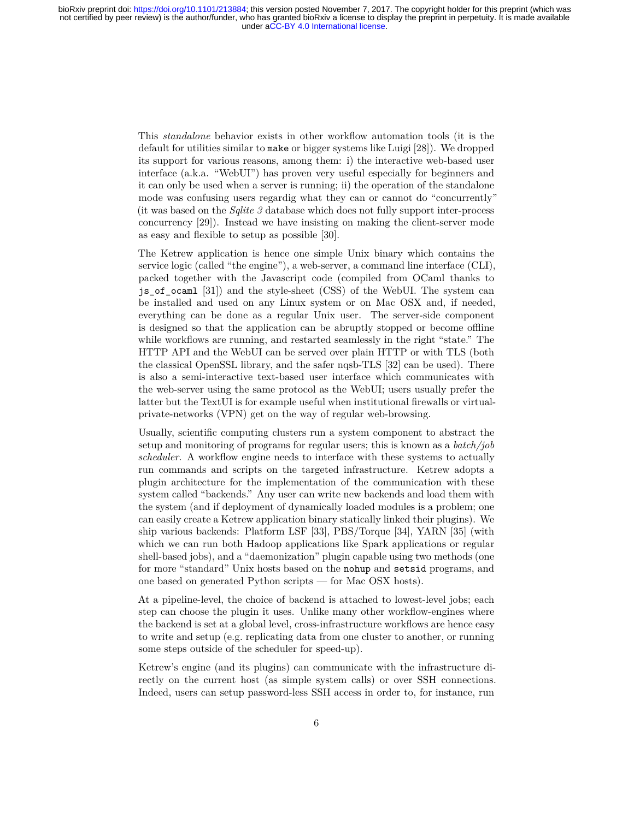This *standalone* behavior exists in other workflow automation tools (it is the default for utilities similar to make or bigger systems like Luigi [\[28](#page-14-10)]). We dropped its support for various reasons, among them: i) the interactive web-based user interface (a.k.a. "WebUI") has proven very useful especially for beginners and it can only be used when a server is running; ii) the operation of the standalone mode was confusing users regardig what they can or cannot do "concurrently" (it was based on the *Sqlite 3* database which does not fully support inter-process concurrency [[29\]](#page-14-11)). Instead we have insisting on making the client-server mode as easy and flexible to setup as possible [[30\]](#page-14-12).

The Ketrew application is hence one simple Unix binary which contains the service logic (called "the engine"), a web-server, a command line interface (CLI), packed together with the Javascript code (compiled from OCaml thanks to js\_of\_ocaml [\[31](#page-14-13)]) and the style-sheet (CSS) of the WebUI. The system can be installed and used on any Linux system or on Mac OSX and, if needed, everything can be done as a regular Unix user. The server-side component is designed so that the application can be abruptly stopped or become offline while workflows are running, and restarted seamlessly in the right "state." The HTTP API and the WebUI can be served over plain HTTP or with TLS (both the classical OpenSSL library, and the safer nqsb-TLS [\[32](#page-14-14)] can be used). There is also a semi-interactive text-based user interface which communicates with the web-server using the same protocol as the WebUI; users usually prefer the latter but the TextUI is for example useful when institutional firewalls or virtualprivate-networks (VPN) get on the way of regular web-browsing.

Usually, scientific computing clusters run a system component to abstract the setup and monitoring of programs for regular users; this is known as a *batch/job scheduler*. A workflow engine needs to interface with these systems to actually run commands and scripts on the targeted infrastructure. Ketrew adopts a plugin architecture for the implementation of the communication with these system called "backends." Any user can write new backends and load them with the system (and if deployment of dynamically loaded modules is a problem; one can easily create a Ketrew application binary statically linked their plugins). We ship various backends: Platform LSF [\[33](#page-15-0)], PBS/Torque [\[34](#page-15-1)], YARN [[35\]](#page-15-2) (with which we can run both Hadoop applications like Spark applications or regular shell-based jobs), and a "daemonization" plugin capable using two methods (one for more "standard" Unix hosts based on the nohup and setsid programs, and one based on generated Python scripts — for Mac OSX hosts).

At a pipeline-level, the choice of backend is attached to lowest-level jobs; each step can choose the plugin it uses. Unlike many other workflow-engines where the backend is set at a global level, cross-infrastructure workflows are hence easy to write and setup (e.g. replicating data from one cluster to another, or running some steps outside of the scheduler for speed-up).

Ketrew's engine (and its plugins) can communicate with the infrastructure directly on the current host (as simple system calls) or over SSH connections. Indeed, users can setup password-less SSH access in order to, for instance, run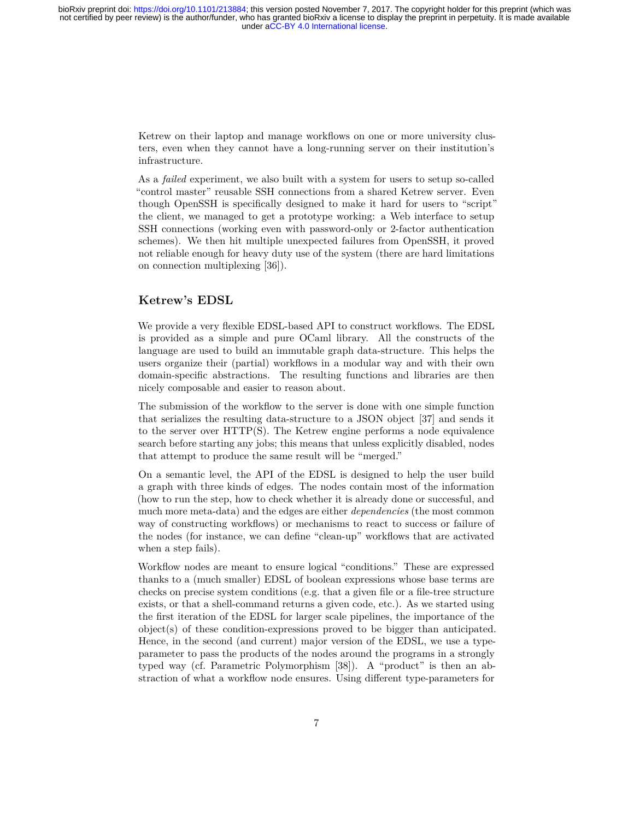Ketrew on their laptop and manage workflows on one or more university clusters, even when they cannot have a long-running server on their institution's infrastructure.

As a *failed* experiment, we also built with a system for users to setup so-called "control master" reusable SSH connections from a shared Ketrew server. Even though OpenSSH is specifically designed to make it hard for users to "script" the client, we managed to get a prototype working: a Web interface to setup SSH connections (working even with password-only or 2-factor authentication schemes). We then hit multiple unexpected failures from OpenSSH, it proved not reliable enough for heavy duty use of the system (there are hard limitations on connection multiplexing [[36\]](#page-15-3)).

### <span id="page-6-0"></span>**Ketrew's EDSL**

We provide a very flexible EDSL-based API to construct workflows. The EDSL is provided as a simple and pure OCaml library. All the constructs of the language are used to build an immutable graph data-structure. This helps the users organize their (partial) workflows in a modular way and with their own domain-specific abstractions. The resulting functions and libraries are then nicely composable and easier to reason about.

The submission of the workflow to the server is done with one simple function that serializes the resulting data-structure to a JSON object [\[37](#page-15-4)] and sends it to the server over HTTP(S). The Ketrew engine performs a node equivalence search before starting any jobs; this means that unless explicitly disabled, nodes that attempt to produce the same result will be "merged."

On a semantic level, the API of the EDSL is designed to help the user build a graph with three kinds of edges. The nodes contain most of the information (how to run the step, how to check whether it is already done or successful, and much more meta-data) and the edges are either *dependencies* (the most common way of constructing workflows) or mechanisms to react to success or failure of the nodes (for instance, we can define "clean-up" workflows that are activated when a step fails).

Workflow nodes are meant to ensure logical "conditions." These are expressed thanks to a (much smaller) EDSL of boolean expressions whose base terms are checks on precise system conditions (e.g. that a given file or a file-tree structure exists, or that a shell-command returns a given code, etc.). As we started using the first iteration of the EDSL for larger scale pipelines, the importance of the object(s) of these condition-expressions proved to be bigger than anticipated. Hence, in the second (and current) major version of the EDSL, we use a typeparameter to pass the products of the nodes around the programs in a strongly typed way (cf. Parametric Polymorphism [\[38](#page-15-5)]). A "product" is then an abstraction of what a workflow node ensures. Using different type-parameters for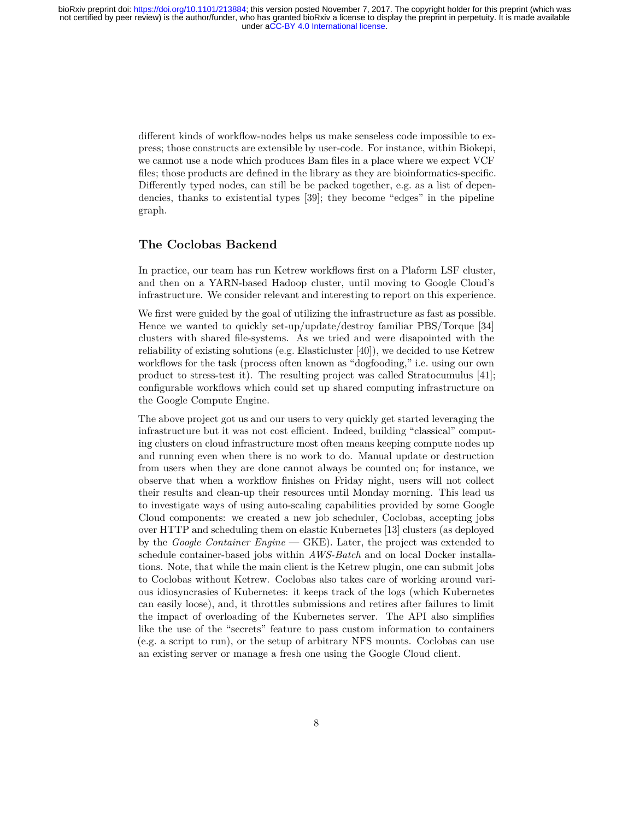different kinds of workflow-nodes helps us make senseless code impossible to express; those constructs are extensible by user-code. For instance, within Biokepi, we cannot use a node which produces Bam files in a place where we expect VCF files; those products are defined in the library as they are bioinformatics-specific. Differently typed nodes, can still be be packed together, e.g. as a list of dependencies, thanks to existential types [\[39](#page-15-6)]; they become "edges" in the pipeline graph.

#### <span id="page-7-0"></span>**The Coclobas Backend**

In practice, our team has run Ketrew workflows first on a Plaform LSF cluster, and then on a YARN-based Hadoop cluster, until moving to Google Cloud's infrastructure. We consider relevant and interesting to report on this experience.

We first were guided by the goal of utilizing the infrastructure as fast as possible. Hence we wanted to quickly set-up/update/destroy familiar PBS/Torque [[34\]](#page-15-1) clusters with shared file-systems. As we tried and were disapointed with the reliability of existing solutions (e.g. Elasticluster [[40\]](#page-15-7)), we decided to use Ketrew workflows for the task (process often known as "dogfooding," i.e. using our own product to stress-test it). The resulting project was called Stratocumulus [\[41](#page-15-8)]; configurable workflows which could set up shared computing infrastructure on the Google Compute Engine.

The above project got us and our users to very quickly get started leveraging the infrastructure but it was not cost efficient. Indeed, building "classical" computing clusters on cloud infrastructure most often means keeping compute nodes up and running even when there is no work to do. Manual update or destruction from users when they are done cannot always be counted on; for instance, we observe that when a workflow finishes on Friday night, users will not collect their results and clean-up their resources until Monday morning. This lead us to investigate ways of using auto-scaling capabilities provided by some Google Cloud components: we created a new job scheduler, Coclobas, accepting jobs over HTTP and scheduling them on elastic Kubernetes [[13\]](#page-13-13) clusters (as deployed by the *Google Container Engine* — GKE). Later, the project was extended to schedule container-based jobs within *AWS-Batch* and on local Docker installations. Note, that while the main client is the Ketrew plugin, one can submit jobs to Coclobas without Ketrew. Coclobas also takes care of working around various idiosyncrasies of Kubernetes: it keeps track of the logs (which Kubernetes can easily loose), and, it throttles submissions and retires after failures to limit the impact of overloading of the Kubernetes server. The API also simplifies like the use of the "secrets" feature to pass custom information to containers (e.g. a script to run), or the setup of arbitrary NFS mounts. Coclobas can use an existing server or manage a fresh one using the Google Cloud client.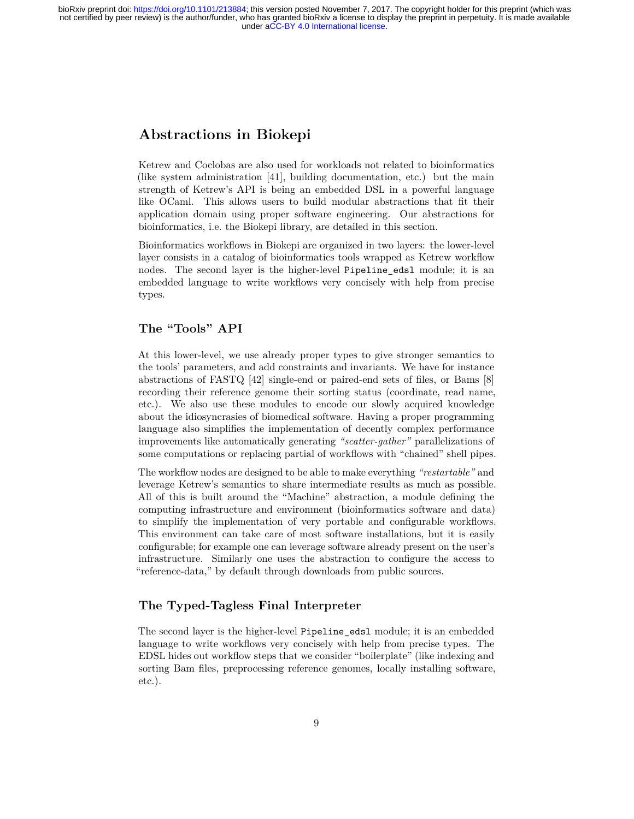# <span id="page-8-0"></span>**Abstractions in Biokepi**

Ketrew and Coclobas are also used for workloads not related to bioinformatics (like system administration [\[41](#page-15-8)], building documentation, etc.) but the main strength of Ketrew's API is being an embedded DSL in a powerful language like OCaml. This allows users to build modular abstractions that fit their application domain using proper software engineering. Our abstractions for bioinformatics, i.e. the Biokepi library, are detailed in this section.

Bioinformatics workflows in Biokepi are organized in two layers: the lower-level layer consists in a catalog of bioinformatics tools wrapped as Ketrew workflow nodes. The second layer is the higher-level Pipeline edsl module; it is an embedded language to write workflows very concisely with help from precise types.

### <span id="page-8-1"></span>**The "Tools" API**

At this lower-level, we use already proper types to give stronger semantics to the tools' parameters, and add constraints and invariants. We have for instance abstractions of FASTQ [[42\]](#page-15-9) single-end or paired-end sets of files, or Bams [[8\]](#page-13-8) recording their reference genome their sorting status (coordinate, read name, etc.). We also use these modules to encode our slowly acquired knowledge about the idiosyncrasies of biomedical software. Having a proper programming language also simplifies the implementation of decently complex performance improvements like automatically generating *"scatter-gather"* parallelizations of some computations or replacing partial of workflows with "chained" shell pipes.

The workflow nodes are designed to be able to make everything *"restartable"* and leverage Ketrew's semantics to share intermediate results as much as possible. All of this is built around the "Machine" abstraction, a module defining the computing infrastructure and environment (bioinformatics software and data) to simplify the implementation of very portable and configurable workflows. This environment can take care of most software installations, but it is easily configurable; for example one can leverage software already present on the user's infrastructure. Similarly one uses the abstraction to configure the access to "reference-data," by default through downloads from public sources.

#### <span id="page-8-2"></span>**The Typed-Tagless Final Interpreter**

The second layer is the higher-level Pipeline\_edsl module; it is an embedded language to write workflows very concisely with help from precise types. The EDSL hides out workflow steps that we consider "boilerplate" (like indexing and sorting Bam files, preprocessing reference genomes, locally installing software, etc.).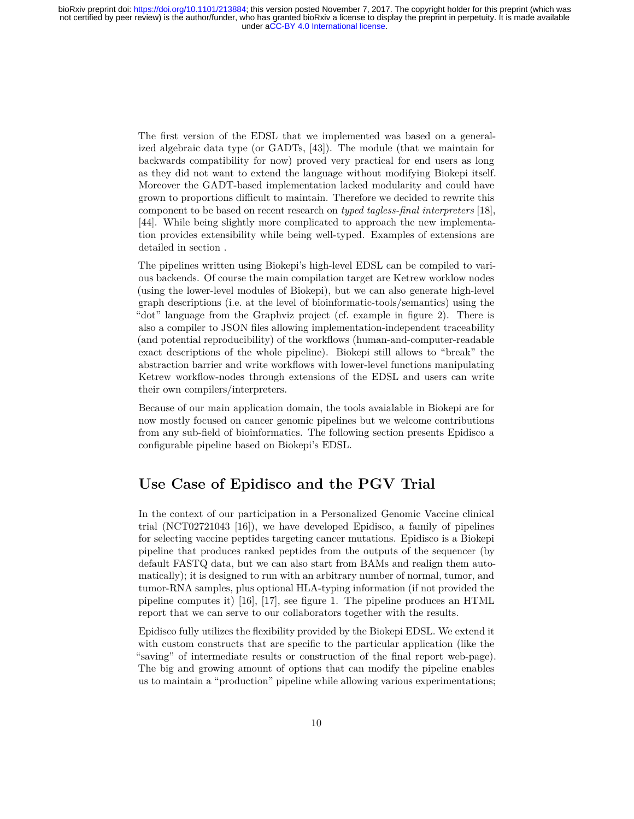The first version of the EDSL that we implemented was based on a generalized algebraic data type (or GADTs, [[43\]](#page-15-10)). The module (that we maintain for backwards compatibility for now) proved very practical for end users as long as they did not want to extend the language without modifying Biokepi itself. Moreover the GADT-based implementation lacked modularity and could have grown to proportions difficult to maintain. Therefore we decided to rewrite this component to be based on recent research on *typed tagless-final interpreters* [\[18](#page-14-0)], [[44\]](#page-15-11). While being slightly more complicated to approach the new implementation provides extensibility while being well-typed. Examples of extensions are detailed in section .

The pipelines written using Biokepi's high-level EDSL can be compiled to various backends. Of course the main compilation target are Ketrew worklow nodes (using the lower-level modules of Biokepi), but we can also generate high-level graph descriptions (i.e. at the level of bioinformatic-tools/semantics) using the "dot" language from the Graphviz project (cf. example in figure [2](#page-12-0)). There is also a compiler to JSON files allowing implementation-independent traceability (and potential reproducibility) of the workflows (human-and-computer-readable exact descriptions of the whole pipeline). Biokepi still allows to "break" the abstraction barrier and write workflows with lower-level functions manipulating Ketrew workflow-nodes through extensions of the EDSL and users can write their own compilers/interpreters.

Because of our main application domain, the tools avaialable in Biokepi are for now mostly focused on cancer genomic pipelines but we welcome contributions from any sub-field of bioinformatics. The following section presents Epidisco a configurable pipeline based on Biokepi's EDSL.

### <span id="page-9-0"></span>**Use Case of Epidisco and the PGV Trial**

In the context of our participation in a Personalized Genomic Vaccine clinical trial (NCT02721043 [[16](#page-13-16)]), we have developed Epidisco, a family of pipelines for selecting vaccine peptides targeting cancer mutations. Epidisco is a Biokepi pipeline that produces ranked peptides from the outputs of the sequencer (by default FASTQ data, but we can also start from BAMs and realign them automatically); it is designed to run with an arbitrary number of normal, tumor, and tumor-RNA samples, plus optional HLA-typing information (if not provided the pipeline computes it) [\[16](#page-13-16)], [\[17](#page-13-17)], see figure [1](#page-12-1). The pipeline produces an HTML report that we can serve to our collaborators together with the results.

Epidisco fully utilizes the flexibility provided by the Biokepi EDSL. We extend it with custom constructs that are specific to the particular application (like the "saving" of intermediate results or construction of the final report web-page). The big and growing amount of options that can modify the pipeline enables us to maintain a "production" pipeline while allowing various experimentations;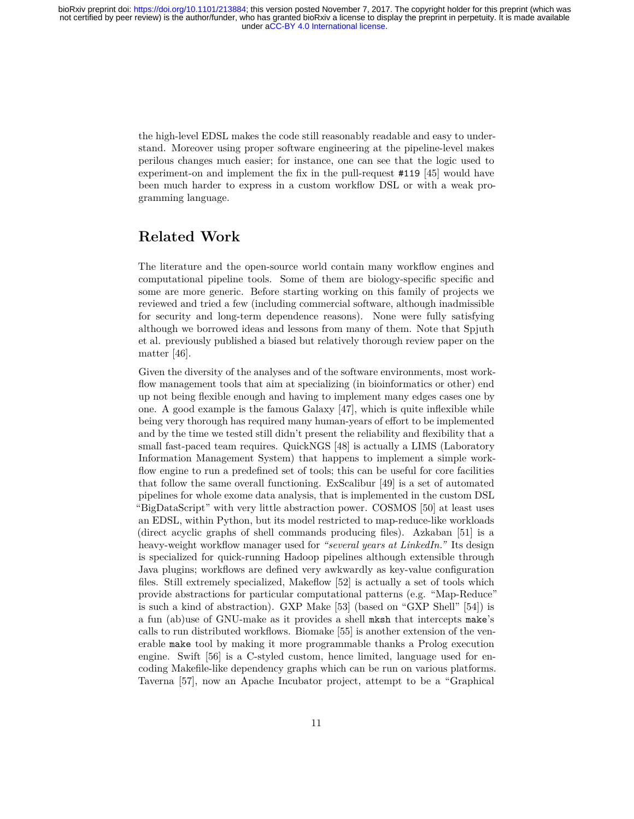the high-level EDSL makes the code still reasonably readable and easy to understand. Moreover using proper software engineering at the pipeline-level makes perilous changes much easier; for instance, one can see that the logic used to experiment-on and implement the fix in the pull-request #119 [\[45](#page-15-12)] would have been much harder to express in a custom workflow DSL or with a weak programming language.

## <span id="page-10-0"></span>**Related Work**

The literature and the open-source world contain many workflow engines and computational pipeline tools. Some of them are biology-specific specific and some are more generic. Before starting working on this family of projects we reviewed and tried a few (including commercial software, although inadmissible for security and long-term dependence reasons). None were fully satisfying although we borrowed ideas and lessons from many of them. Note that Spjuth et al. previously published a biased but relatively thorough review paper on the matter [\[46](#page-15-13)].

Given the diversity of the analyses and of the software environments, most workflow management tools that aim at specializing (in bioinformatics or other) end up not being flexible enough and having to implement many edges cases one by one. A good example is the famous Galaxy [\[47](#page-15-14)], which is quite inflexible while being very thorough has required many human-years of effort to be implemented and by the time we tested still didn't present the reliability and flexibility that a small fast-paced team requires. QuickNGS [\[48](#page-16-0)] is actually a LIMS (Laboratory Information Management System) that happens to implement a simple workflow engine to run a predefined set of tools; this can be useful for core facilities that follow the same overall functioning. ExScalibur [\[49](#page-16-1)] is a set of automated pipelines for whole exome data analysis, that is implemented in the custom DSL "BigDataScript" with very little abstraction power. COSMOS [\[50](#page-16-2)] at least uses an EDSL, within Python, but its model restricted to map-reduce-like workloads (direct acyclic graphs of shell commands producing files). Azkaban [\[51](#page-16-3)] is a heavy-weight workflow manager used for *"several years at LinkedIn."* Its design is specialized for quick-running Hadoop pipelines although extensible through Java plugins; workflows are defined very awkwardly as key-value configuration files. Still extremely specialized, Makeflow [[52\]](#page-16-4) is actually a set of tools which provide abstractions for particular computational patterns (e.g. "Map-Reduce" is such a kind of abstraction). GXP Make [[53\]](#page-16-5) (based on "GXP Shell" [[54\]](#page-16-6)) is a fun (ab)use of GNU-make as it provides a shell mksh that intercepts make's calls to run distributed workflows. Biomake [\[55](#page-16-7)] is another extension of the venerable make tool by making it more programmable thanks a Prolog execution engine. Swift [\[56](#page-16-8)] is a C-styled custom, hence limited, language used for encoding Makefile-like dependency graphs which can be run on various platforms. Taverna [\[57](#page-16-9)], now an Apache Incubator project, attempt to be a "Graphical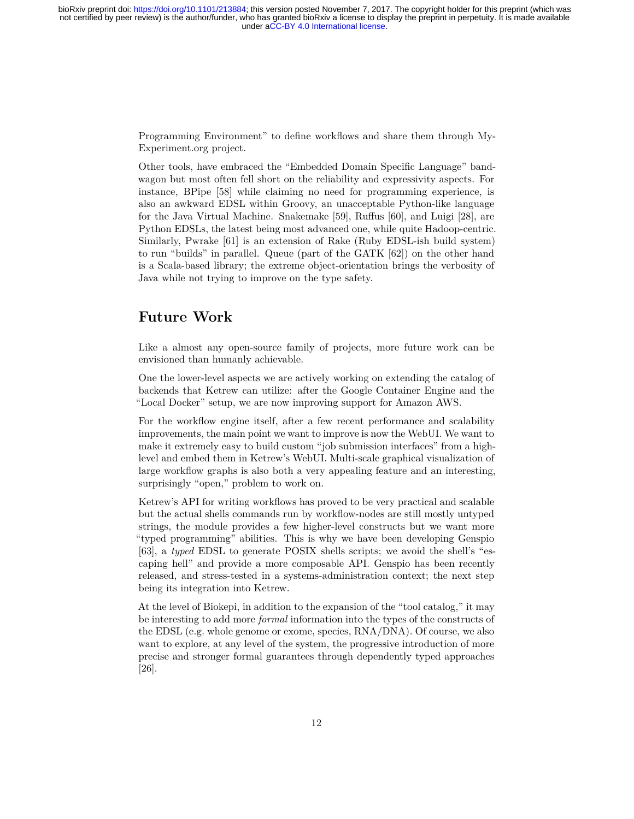Programming Environment" to define workflows and share them through [My-](http://www.myexperiment.org/)[Experiment.org](http://www.myexperiment.org/) project.

Other tools, have embraced the "Embedded Domain Specific Language" bandwagon but most often fell short on the reliability and expressivity aspects. For instance, BPipe [[58\]](#page-16-10) while claiming no need for programming experience, is also an awkward EDSL within Groovy, an unacceptable Python-like language for the Java Virtual Machine. Snakemake[[59\]](#page-16-11), Ruffus [\[60](#page-17-0)], and Luigi [[28\]](#page-14-10), are Python EDSLs, the latest being most advanced one, while quite Hadoop-centric. Similarly, Pwrake [[61\]](#page-17-1) is an extension of Rake (Ruby EDSL-ish build system) to run "builds" in parallel. Queue (part of the GATK [[62\]](#page-17-2)) on the other hand is a Scala-based library; the extreme object-orientation brings the verbosity of Java while not trying to improve on the type safety.

### <span id="page-11-0"></span>**Future Work**

Like a almost any open-source family of projects, more future work can be envisioned than humanly achievable.

One the lower-level aspects we are actively working on extending the catalog of backends that Ketrew can utilize: after the Google Container Engine and the "Local Docker" setup, we are now improving support for Amazon AWS.

For the workflow engine itself, after a few recent performance and scalability improvements, the main point we want to improve is now the WebUI. We want to make it extremely easy to build custom "job submission interfaces" from a highlevel and embed them in Ketrew's WebUI. Multi-scale graphical visualization of large workflow graphs is also both a very appealing feature and an interesting, surprisingly "open," problem to work on.

Ketrew's API for writing workflows has proved to be very practical and scalable but the actual shells commands run by workflow-nodes are still mostly untyped strings, the module provides a few higher-level constructs but we want more "typed programming" abilities. This is why we have been developing Genspio [[63\]](#page-17-3), a *typed* EDSL to generate POSIX shells scripts; we avoid the shell's "escaping hell" and provide a more composable API. Genspio has been recently released, and stress-tested in a systems-administration context; the next step being its integration into Ketrew.

At the level of Biokepi, in addition to the expansion of the "tool catalog," it may be interesting to add more *formal* information into the types of the constructs of the EDSL (e.g. whole genome or exome, species, RNA/DNA). Of course, we also want to explore, at any level of the system, the progressive introduction of more precise and stronger formal guarantees through dependently typed approaches [[26\]](#page-14-8).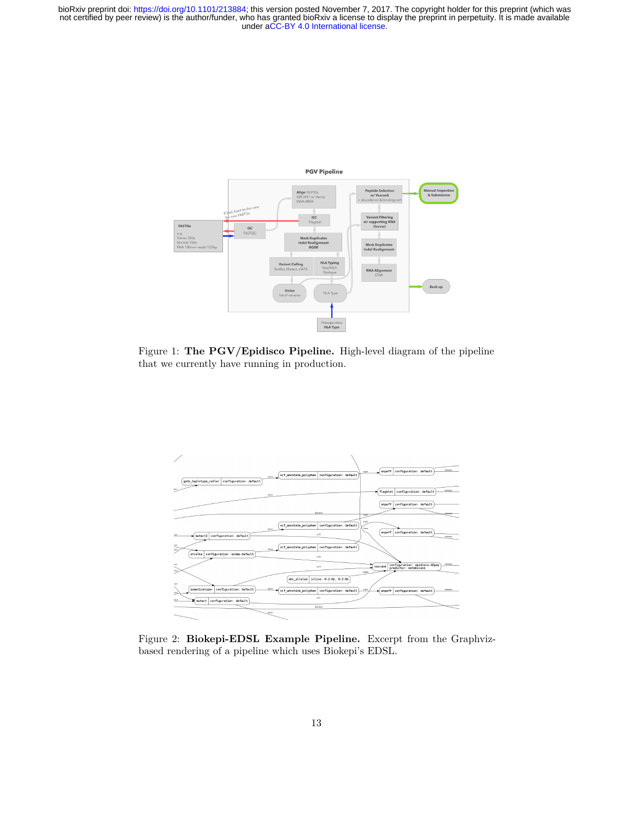

<span id="page-12-1"></span>Figure 1: **The PGV/Epidisco Pipeline.** High-level diagram of the pipeline that we currently have running in production.



<span id="page-12-0"></span>Figure 2: **Biokepi-EDSL Example Pipeline.** Excerpt from the Graphvizbased rendering of a pipeline which uses Biokepi's EDSL.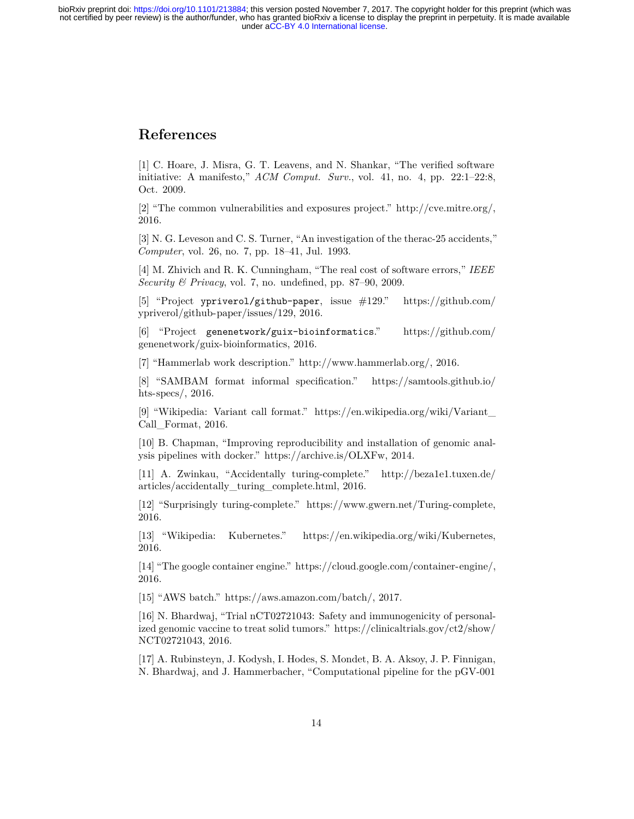### <span id="page-13-0"></span>**References**

<span id="page-13-1"></span>[1] C. Hoare, J. Misra, G. T. Leavens, and N. Shankar, "The verified software initiative: A manifesto," *ACM Comput. Surv.*, vol. 41, no. 4, pp. 22:1–22:8, Oct. 2009.

<span id="page-13-2"></span>[2] "The common vulnerabilities and exposures project."<http://cve.mitre.org/>, 2016.

<span id="page-13-3"></span>[3] N. G. Leveson and C. S. Turner, "An investigation of the therac-25 accidents," *Computer*, vol. 26, no. 7, pp. 18–41, Jul. 1993.

<span id="page-13-4"></span>[4] M. Zhivich and R. K. Cunningham, "The real cost of software errors," *IEEE Security & Privacy*, vol. 7, no. undefined, pp. 87–90, 2009.

<span id="page-13-5"></span>[5] "Project ypriverol/github-paper, issue #129." [https://github.com/](https://github.com/ypriverol/github-paper/issues/129) [ypriverol/github-paper/issues/129](https://github.com/ypriverol/github-paper/issues/129), 2016.

<span id="page-13-6"></span>[6] "Project genenetwork/guix-bioinformatics." [https://github.com/](https://github.com/genenetwork/guix-bioinformatics) [genenetwork/guix-bioinformatics](https://github.com/genenetwork/guix-bioinformatics), 2016.

<span id="page-13-7"></span>[7] "Hammerlab work description."<http://www.hammerlab.org/>, 2016.

<span id="page-13-8"></span>[8] "SAMBAM format informal specification." [https://samtools.github.io/](https://samtools.github.io/hts-specs/) [hts-specs/](https://samtools.github.io/hts-specs/), 2016.

<span id="page-13-9"></span>[9] "Wikipedia: Variant call format." [https://en.wikipedia.org/wiki/Variant\\_](https://en.wikipedia.org/wiki/Variant_Call_Format) [Call\\_Format,](https://en.wikipedia.org/wiki/Variant_Call_Format) 2016.

<span id="page-13-10"></span>[10] B. Chapman, "Improving reproducibility and installation of genomic analysis pipelines with docker." [https://archive.is/OLXFw,](https://archive.is/OLXFw) 2014.

<span id="page-13-11"></span>[11] A. Zwinkau, "Accidentally turing-complete." [http://beza1e1.tuxen.de/](http://beza1e1.tuxen.de/articles/accidentally_turing_complete.html) [articles/accidentally\\_turing\\_complete.html](http://beza1e1.tuxen.de/articles/accidentally_turing_complete.html), 2016.

<span id="page-13-12"></span>[12] "Surprisingly turing-complete."<https://www.gwern.net/Turing-complete>, 2016.

<span id="page-13-13"></span>[13] "Wikipedia: Kubernetes."<https://en.wikipedia.org/wiki/Kubernetes>, 2016.

<span id="page-13-14"></span>[14] "The google container engine."<https://cloud.google.com/container-engine/>, 2016.

<span id="page-13-15"></span>[15] "AWS batch." [https://aws.amazon.com/batch/,](https://aws.amazon.com/batch/) 2017.

<span id="page-13-16"></span>[16] N. Bhardwaj, "Trial nCT02721043: Safety and immunogenicity of personalized genomic vaccine to treat solid tumors." [https://clinicaltrials.gov/ct2/show/](https://clinicaltrials.gov/ct2/show/NCT02721043) [NCT02721043](https://clinicaltrials.gov/ct2/show/NCT02721043), 2016.

<span id="page-13-17"></span>[17] A. Rubinsteyn, J. Kodysh, I. Hodes, S. Mondet, B. A. Aksoy, J. P. Finnigan, N. Bhardwaj, and J. Hammerbacher, "Computational pipeline for the pGV-001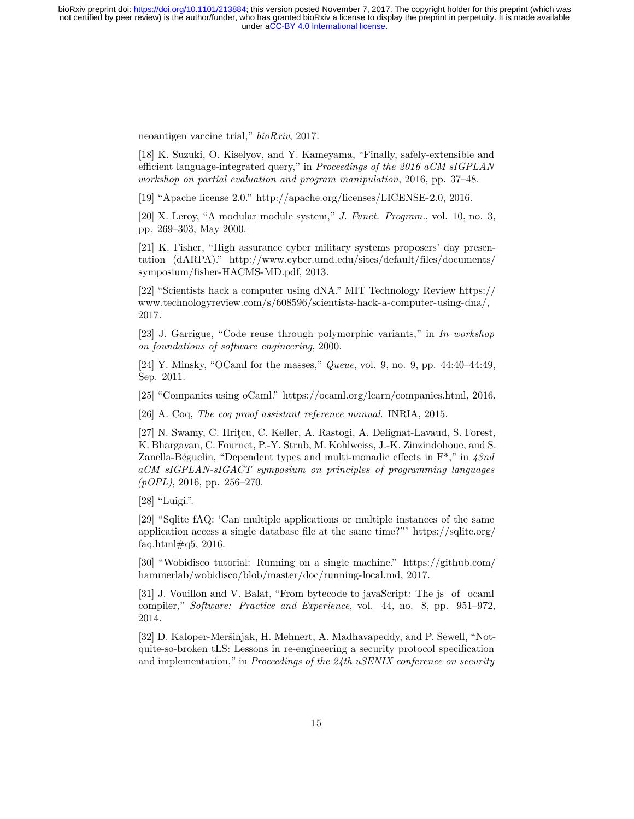neoantigen vaccine trial," *bioRxiv*, 2017.

<span id="page-14-0"></span>[18] K. Suzuki, O. Kiselyov, and Y. Kameyama, "Finally, safely-extensible and efficient language-integrated query," in *Proceedings of the 2016 aCM sIGPLAN workshop on partial evaluation and program manipulation*, 2016, pp. 37–48.

<span id="page-14-1"></span>[19] "Apache license 2.0." [http://apache.org/licenses/LICENSE-2.0,](http://apache.org/licenses/LICENSE-2.0) 2016.

<span id="page-14-2"></span>[20] X. Leroy, "A modular module system," *J. Funct. Program.*, vol. 10, no. 3, pp. 269–303, May 2000.

<span id="page-14-3"></span>[21] K. Fisher, "High assurance cyber military systems proposers' day presentation (dARPA)." [http://www.cyber.umd.edu/sites/default/files/documents/](http://www.cyber.umd.edu/sites/default/files/documents/symposium/fisher-HACMS-MD.pdf) [symposium/fisher-HACMS-MD.pdf,](http://www.cyber.umd.edu/sites/default/files/documents/symposium/fisher-HACMS-MD.pdf) 2013.

<span id="page-14-4"></span>[22] "Scientists hack a computer using dNA." MIT Technology Review [https://](https://www.technologyreview.com/s/608596/scientists-hack-a-computer-using-dna/) [www.technologyreview.com/s/608596/scientists-hack-a-computer-using-dna/](https://www.technologyreview.com/s/608596/scientists-hack-a-computer-using-dna/), 2017.

<span id="page-14-5"></span>[23] J. Garrigue, "Code reuse through polymorphic variants," in *In workshop on foundations of software engineering*, 2000.

<span id="page-14-6"></span>[24] Y. Minsky, "OCaml for the masses," *Queue*, vol. 9, no. 9, pp. 44:40–44:49, Sep. 2011.

<span id="page-14-7"></span>[25] "Companies using oCaml."<https://ocaml.org/learn/companies.html>, 2016.

<span id="page-14-8"></span>[26] A. Coq, *The coq proof assistant reference manual*. INRIA, 2015.

<span id="page-14-9"></span>[27] N. Swamy, C. Hritcu, C. Keller, A. Rastogi, A. Delignat-Lavaud, S. Forest, K. Bhargavan, C. Fournet, P.-Y. Strub, M. Kohlweiss, J.-K. Zinzindohoue, and S. Zanella-Béguelin, "Dependent types and multi-monadic effects in F\*," in *43nd aCM sIGPLAN-sIGACT symposium on principles of programming languages (pOPL)*, 2016, pp. 256–270.

<span id="page-14-10"></span>[28] "Luigi.".

<span id="page-14-11"></span>[29] "Sqlite fAQ: 'Can multiple applications or multiple instances of the same application access a single database file at the same time?"' [https://sqlite.org/](https://sqlite.org/faq.html#q5) faq.html $\#q5$ , 2016.

<span id="page-14-12"></span>[30] "Wobidisco tutorial: Running on a single machine." [https://github.com/](https://github.com/hammerlab/wobidisco/blob/master/doc/running-local.md) [hammerlab/wobidisco/blob/master/doc/running-local.md,](https://github.com/hammerlab/wobidisco/blob/master/doc/running-local.md) 2017.

<span id="page-14-13"></span>[31] J. Vouillon and V. Balat, "From bytecode to javaScript: The js\_of\_ocaml compiler," *Software: Practice and Experience*, vol. 44, no. 8, pp. 951–972, 2014.

<span id="page-14-14"></span>[32] D. Kaloper-Meršinjak, H. Mehnert, A. Madhavapeddy, and P. Sewell, "Notquite-so-broken tLS: Lessons in re-engineering a security protocol specification and implementation," in *Proceedings of the 24th uSENIX conference on security*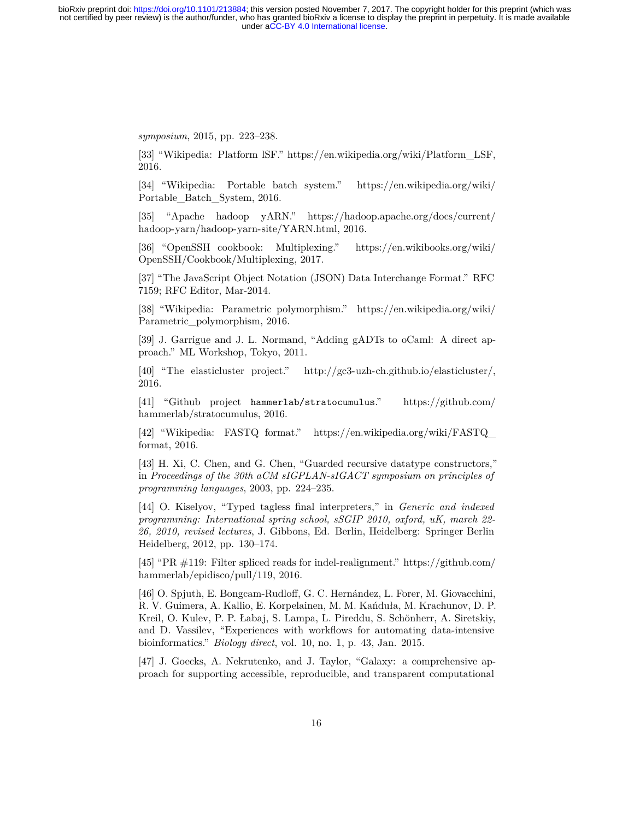*symposium*, 2015, pp. 223–238.

<span id="page-15-0"></span>[33] "Wikipedia: Platform lSF." [https://en.wikipedia.org/wiki/Platform\\_LSF](https://en.wikipedia.org/wiki/Platform_LSF), 2016.

<span id="page-15-1"></span>[34] "Wikipedia: Portable batch system." [https://en.wikipedia.org/wiki/](https://en.wikipedia.org/wiki/Portable_Batch_System) [Portable\\_Batch\\_System](https://en.wikipedia.org/wiki/Portable_Batch_System), 2016.

<span id="page-15-2"></span>[35] "Apache hadoop yARN." [https://hadoop.apache.org/docs/current/](https://hadoop.apache.org/docs/current/hadoop-yarn/hadoop-yarn-site/YARN.html) [hadoop-yarn/hadoop-yarn-site/YARN.html,](https://hadoop.apache.org/docs/current/hadoop-yarn/hadoop-yarn-site/YARN.html) 2016.

<span id="page-15-3"></span>[36] "OpenSSH cookbook: Multiplexing." [https://en.wikibooks.org/wiki/](https://en.wikibooks.org/wiki/OpenSSH/Cookbook/Multiplexing) [OpenSSH/Cookbook/Multiplexing](https://en.wikibooks.org/wiki/OpenSSH/Cookbook/Multiplexing), 2017.

<span id="page-15-4"></span>[37] "The JavaScript Object Notation (JSON) Data Interchange Format." RFC 7159; RFC Editor, Mar-2014.

<span id="page-15-5"></span>[38] "Wikipedia: Parametric polymorphism." [https://en.wikipedia.org/wiki/](https://en.wikipedia.org/wiki/Parametric_polymorphism) [Parametric\\_polymorphism](https://en.wikipedia.org/wiki/Parametric_polymorphism), 2016.

<span id="page-15-6"></span>[39] J. Garrigue and J. L. Normand, "Adding gADTs to oCaml: A direct approach." ML Workshop, Tokyo, 2011.

<span id="page-15-7"></span>[40] "The elasticluster project."<http://gc3-uzh-ch.github.io/elasticluster/>, 2016.

<span id="page-15-8"></span>[41] "Github project hammerlab/stratocumulus." [https://github.com/](https://github.com/hammerlab/stratocumulus) [hammerlab/stratocumulus](https://github.com/hammerlab/stratocumulus), 2016.

<span id="page-15-9"></span>[42] "Wikipedia: FASTQ format." [https://en.wikipedia.org/wiki/FASTQ\\_](https://en.wikipedia.org/wiki/FASTQ_format) [format,](https://en.wikipedia.org/wiki/FASTQ_format) 2016.

<span id="page-15-10"></span>[43] H. Xi, C. Chen, and G. Chen, "Guarded recursive datatype constructors," in *Proceedings of the 30th aCM sIGPLAN-sIGACT symposium on principles of programming languages*, 2003, pp. 224–235.

<span id="page-15-11"></span>[44] O. Kiselyov, "Typed tagless final interpreters," in *Generic and indexed programming: International spring school, sSGIP 2010, oxford, uK, march 22- 26, 2010, revised lectures*, J. Gibbons, Ed. Berlin, Heidelberg: Springer Berlin Heidelberg, 2012, pp. 130–174.

<span id="page-15-12"></span>[45] "PR #119: Filter spliced reads for indel-realignment." [https://github.com/](https://github.com/hammerlab/epidisco/pull/119) [hammerlab/epidisco/pull/119](https://github.com/hammerlab/epidisco/pull/119), 2016.

<span id="page-15-13"></span>[46] O. Spjuth, E. Bongcam-Rudloff, G. C. Hernández, L. Forer, M. Giovacchini, R. V. Guimera, A. Kallio, E. Korpelainen, M. M. Kańduła, M. Krachunov, D. P. Kreil, O. Kulev, P. P. Łabaj, S. Lampa, L. Pireddu, S. Schönherr, A. Siretskiy, and D. Vassilev, "Experiences with workflows for automating data-intensive bioinformatics." *Biology direct*, vol. 10, no. 1, p. 43, Jan. 2015.

<span id="page-15-14"></span>[47] J. Goecks, A. Nekrutenko, and J. Taylor, "Galaxy: a comprehensive approach for supporting accessible, reproducible, and transparent computational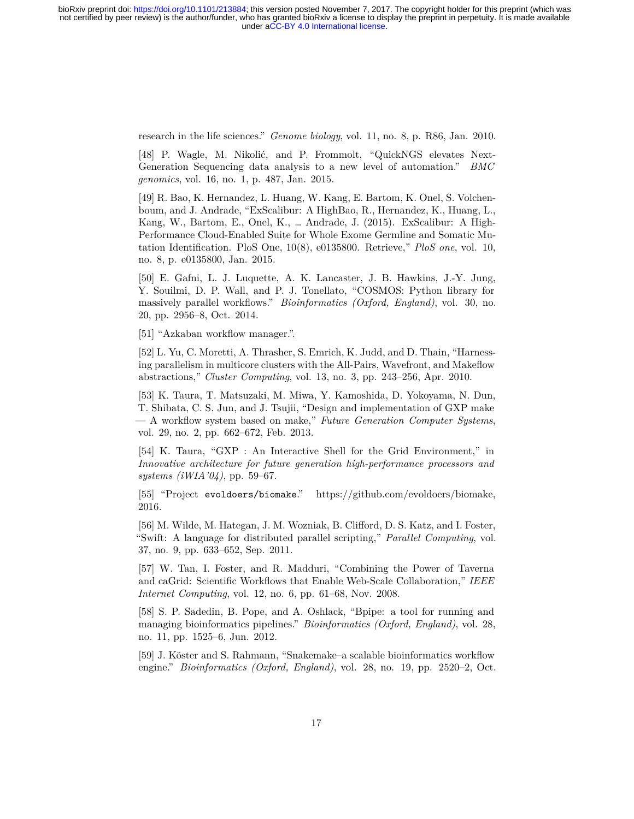research in the life sciences." *Genome biology*, vol. 11, no. 8, p. R86, Jan. 2010.

<span id="page-16-0"></span>[48] P. Wagle, M. Nikolić, and P. Frommolt, "QuickNGS elevates Next-Generation Sequencing data analysis to a new level of automation." *BMC genomics*, vol. 16, no. 1, p. 487, Jan. 2015.

<span id="page-16-1"></span>[49] R. Bao, K. Hernandez, L. Huang, W. Kang, E. Bartom, K. Onel, S. Volchenboum, and J. Andrade, "ExScalibur: A HighBao, R., Hernandez, K., Huang, L., Kang, W., Bartom, E., Onel, K., … Andrade, J. (2015). ExScalibur: A High-Performance Cloud-Enabled Suite for Whole Exome Germline and Somatic Mutation Identification. PloS One, 10(8), e0135800. Retrieve," *PloS one*, vol. 10, no. 8, p. e0135800, Jan. 2015.

<span id="page-16-2"></span>[50] E. Gafni, L. J. Luquette, A. K. Lancaster, J. B. Hawkins, J.-Y. Jung, Y. Souilmi, D. P. Wall, and P. J. Tonellato, "COSMOS: Python library for massively parallel workflows." *Bioinformatics (Oxford, England)*, vol. 30, no. 20, pp. 2956–8, Oct. 2014.

<span id="page-16-3"></span>[51] "Azkaban workflow manager.".

<span id="page-16-4"></span>[52] L. Yu, C. Moretti, A. Thrasher, S. Emrich, K. Judd, and D. Thain, "Harnessing parallelism in multicore clusters with the All-Pairs, Wavefront, and Makeflow abstractions," *Cluster Computing*, vol. 13, no. 3, pp. 243–256, Apr. 2010.

<span id="page-16-5"></span>[53] K. Taura, T. Matsuzaki, M. Miwa, Y. Kamoshida, D. Yokoyama, N. Dun, T. Shibata, C. S. Jun, and J. Tsujii, "Design and implementation of GXP make — A workflow system based on make," *Future Generation Computer Systems*, vol. 29, no. 2, pp. 662–672, Feb. 2013.

<span id="page-16-6"></span>[54] K. Taura, "GXP : An Interactive Shell for the Grid Environment," in *Innovative architecture for future generation high-performance processors and systems (iWIA'04)*, pp. 59–67.

<span id="page-16-7"></span>[55] "Project evoldoers/biomake."<https://github.com/evoldoers/biomake>, 2016.

<span id="page-16-8"></span>[56] M. Wilde, M. Hategan, J. M. Wozniak, B. Clifford, D. S. Katz, and I. Foster, "Swift: A language for distributed parallel scripting," *Parallel Computing*, vol. 37, no. 9, pp. 633–652, Sep. 2011.

<span id="page-16-9"></span>[57] W. Tan, I. Foster, and R. Madduri, "Combining the Power of Taverna and caGrid: Scientific Workflows that Enable Web-Scale Collaboration," *IEEE Internet Computing*, vol. 12, no. 6, pp. 61–68, Nov. 2008.

<span id="page-16-10"></span>[58] S. P. Sadedin, B. Pope, and A. Oshlack, "Bpipe: a tool for running and managing bioinformatics pipelines." *Bioinformatics (Oxford, England)*, vol. 28, no. 11, pp. 1525–6, Jun. 2012.

<span id="page-16-11"></span>[59] J. Köster and S. Rahmann, "Snakemake–a scalable bioinformatics workflow engine." *Bioinformatics (Oxford, England)*, vol. 28, no. 19, pp. 2520–2, Oct.